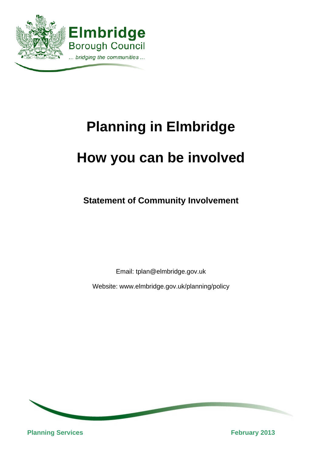

# **Planning in Elmbridge How you can be involved**

**Statement of Community Involvement** 

Email: tplan@elmbridge.gov.uk

Website: www.elmbridge.gov.uk/planning/policy



**Planning Services** February 2013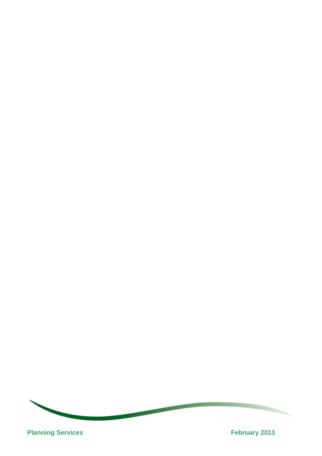

**Planning Services February 2013**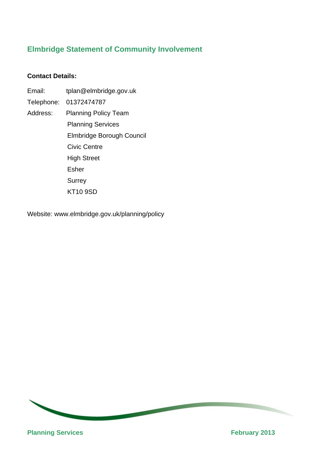# **Elmbridge Statement of Community Involvement**

## **Contact Details:**

Email: tplan@elmbridge.gov.uk Telephone: 01372474787 Address: Planning Policy Team Planning Services Elmbridge Borough Council Civic Centre High Street Esher **Surrey** KT10 9SD

Website: www.elmbridge.gov.uk/planning/policy

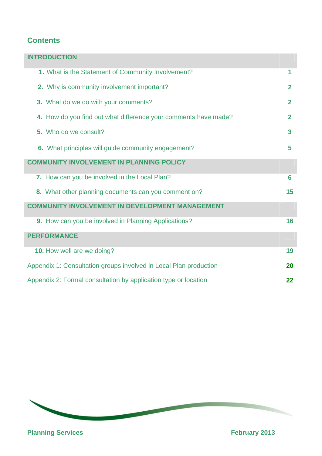# **Contents**

| <b>INTRODUCTION</b>                                               |                |  |
|-------------------------------------------------------------------|----------------|--|
| 1. What is the Statement of Community Involvement?                | 1              |  |
| 2. Why is community involvement important?                        | $\mathbf{2}$   |  |
| 3. What do we do with your comments?                              | $\overline{2}$ |  |
| 4. How do you find out what difference your comments have made?   | $\mathbf{2}$   |  |
| 5. Who do we consult?                                             | $\mathbf{3}$   |  |
| 6. What principles will guide community engagement?               | 5              |  |
| <b>COMMUNITY INVOLVEMENT IN PLANNING POLICY</b>                   |                |  |
| 7. How can you be involved in the Local Plan?                     | 6              |  |
| 8. What other planning documents can you comment on?              | 15             |  |
| <b>COMMUNITY INVOLVEMENT IN DEVELOPMENT MANAGEMENT</b>            |                |  |
| 9. How can you be involved in Planning Applications?              | 16             |  |
| <b>PERFORMANCE</b>                                                |                |  |
| 10. How well are we doing?                                        | 19             |  |
| Appendix 1: Consultation groups involved in Local Plan production | 20             |  |
| Appendix 2: Formal consultation by application type or location   |                |  |



**Planning Services February 2013**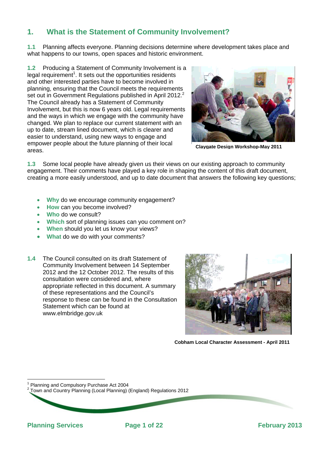# **1. What is the Statement of Community Involvement?**

**1.1** Planning affects everyone. Planning decisions determine where development takes place and what happens to our towns, open spaces and historic environment.

**1.2** Producing a Statement of Community Involvement is a legal requirement<sup>1</sup>. It sets out the opportunities residents and other interested parties have to become involved in planning, ensuring that the Council meets the requirements set out in Government Regulations published in April 2012.<sup>2</sup> The Council already has a Statement of Community Involvement, but this is now 6 years old. Legal requirements and the ways in which we engage with the community have changed. We plan to replace our current statement with an up to date, stream lined document, which is clearer and easier to understand, using new ways to engage and empower people about the future planning of their local areas.



**Claygate Design Workshop-May 2011**

**1.3** Some local people have already given us their views on our existing approach to community engagement. Their comments have played a key role in shaping the content of this draft document, creating a more easily understood, and up to date document that answers the following key questions;

- **Why** do we encourage community engagement?
- **How** can you become involved?
- **Who** do we consult?
- **Which** sort of planning issues can you comment on?
- **When** should you let us know your views?
- **What** do we do with your comments?
- **1.4** The Council consulted on its draft Statement of Community Involvement between 14 September 2012 and the 12 October 2012. The results of this consultation were considered and, where appropriate reflected in this document. A summary of these representations and the Council's response to these can be found in the Consultation Statement which can be found at www.elmbridge.gov.uk



**Cobham Local Character Assessment - April 2011** 

l 1 Planning and Compulsory Purchase Act 2004

- -26

2 Town and Country Planning (Local Planning) (England) Regulations 2012

**Planning Services 2013** Page 1 of 22 **Planning Services Propose 2013** 

1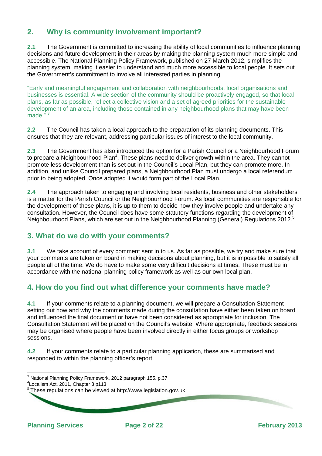# **2. Why is community involvement important?**

**2.1** The Government is committed to increasing the ability of local communities to influence planning decisions and future development in their areas by making the planning system much more simple and accessible. The National Planning Policy Framework, published on 27 March 2012, simplifies the planning system, making it easier to understand and much more accessible to local people. It sets out the Government's commitment to involve all interested parties in planning.

"Early and meaningful engagement and collaboration with neighbourhoods, local organisations and businesses is essential. A wide section of the community should be proactively engaged, so that local plans, as far as possible, reflect a collective vision and a set of agreed priorities for the sustainable development of an area, including those contained in any neighbourhood plans that may have been made."<sup>3</sup>.

**2.2** The Council has taken a local approach to the preparation of its planning documents. This ensures that they are relevant, addressing particular issues of interest to the local community.

**2.3** The Government has also introduced the option for a Parish Council or a Neighbourhood Forum to prepare a Neighbourhood Plan<sup>4</sup>. These plans need to deliver growth within the area. They cannot promote less development than is set out in the Council's Local Plan, but they can promote more. In addition, and unlike Council prepared plans, a Neighbourhood Plan must undergo a local referendum prior to being adopted. Once adopted it would form part of the Local Plan.

**2.4** The approach taken to engaging and involving local residents, business and other stakeholders is a matter for the Parish Council or the Neighbourhood Forum. As local communities are responsible for the development of these plans, it is up to them to decide how they involve people and undertake any consultation. However, the Council does have some statutory functions regarding the development of Neighbourhood Plans, which are set out in the Neighbourhood Planning (General) Regulations 2012.<sup>5</sup>

## **3. What do we do with your comments?**

**3.1** We take account of every comment sent in to us. As far as possible, we try and make sure that your comments are taken on board in making decisions about planning, but it is impossible to satisfy all people all of the time. We do have to make some very difficult decisions at times. These must be in accordance with the national planning policy framework as well as our own local plan.

# **4. How do you find out what difference your comments have made?**

**4.1** If your comments relate to a planning document, we will prepare a Consultation Statement setting out how and why the comments made during the consultation have either been taken on board and influenced the final document or have not been considered as appropriate for inclusion. The Consultation Statement will be placed on the Council's website. Where appropriate, feedback sessions may be organised where people have been involved directly in either focus groups or workshop sessions.

2

**4.2** If your comments relate to a particular planning application, these are summarised and responded to within the planning officer's report.

**Planning Services Page 2 of 22 February 2013**

l  $^3$  National Planning Policy Framework, 2012 paragraph 155, p.37

<sup>4</sup> Localism Act, 2011, Chapter 3 p113

 $5$  These regulations can be viewed at http://www.legislation.gov.uk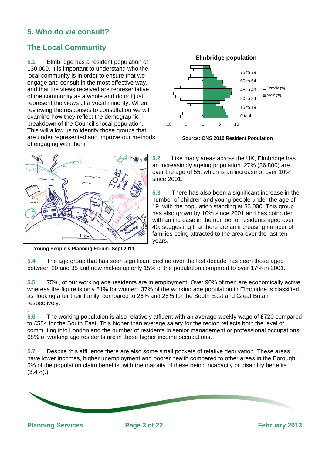# **5. Who do we consult?**

# **The Local Community**

**5.1** Elmbridge has a resident population of 130,000. It is important to understand who the local community is in order to ensure that we engage and consult in the most effective way, and that the views received are representative of the community as a whole and do not just represent the views of a vocal minority. When reviewing the responses to consultation we will examine how they reflect the demographic breakdown of the Council's local population. This will allow us to identify those groups that are under represented and improve our methods of engaging with them.



**Young People's Planning Forum- Sept 2011**



**Source: ONS 2010 Resident Population** 

**5.2** Like many areas across the UK, Elmbridge has an increasingly ageing population. 27% (36,800) are over the age of 55, which is an increase of over 10% since 2001.

**5.3** There has also been a significant increase in the number of children and young people under the age of 19, with the population standing at 33,000. This group has also grown by 10% since 2001 and has coincided with an increase in the number of residents aged over 40, suggesting that there are an increasing number of families being attracted to the area over the last ten years.

**5.4** The age group that has seen significant decline over the last decade has been those aged between 20 and 35 and now makes up only 15% of the population compared to over 17% in 2001.

**5.5** 75%, of our working age residents are in employment. Over 90% of men are economically active whereas the figure is only 61% for women. 37% of the working age population in Elmbridge is classified as 'looking after their family' compared to 26% and 25% for the South East and Great Britain respectively.

**5.6** The working population is also relatively affluent with an average weekly wage of £720 compared to £554 for the South East. This higher than average salary for the region reflects both the level of commuting into London and the number of residents in senior management or professional occupations. 68% of working age residents are in these higher income occupations.

**5.7** Despite this affluence there are also some small pockets of relative deprivation. These areas have lower incomes, higher unemployment and poorer health compared to other areas in the Borough. 5% of the population claim benefits, with the majority of these being incapacity or disability benefits  $(3.4\%)$ .).



.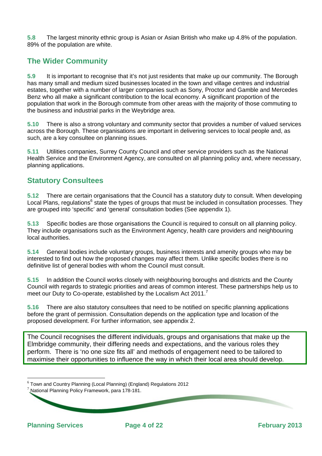**5.8** The largest minority ethnic group is Asian or Asian British who make up 4.8% of the population. 89% of the population are white.

# **The Wider Community**

**5.9** It is important to recognise that it's not just residents that make up our community. The Borough has many small and medium sized businesses located in the town and village centres and industrial estates, together with a number of larger companies such as Sony, Proctor and Gamble and Mercedes Benz who all make a significant contribution to the local economy. A significant proportion of the population that work in the Borough commute from other areas with the majority of those commuting to the business and industrial parks in the Weybridge area.

**5.10** There is also a strong voluntary and community sector that provides a number of valued services across the Borough. These organisations are important in delivering services to local people and, as such, are a key consultee on planning issues.

**5.11** Utilities companies, Surrey County Council and other service providers such as the National Health Service and the Environment Agency, are consulted on all planning policy and, where necessary, planning applications.

## **Statutory Consultees**

**5.12** There are certain organisations that the Council has a statutory duty to consult. When developing Local Plans, regulations<sup>6</sup> state the types of groups that must be included in consultation processes. They are grouped into 'specific' and 'general' consultation bodies (See appendix 1).

**5.13** Specific bodies are those organisations the Council is required to consult on all planning policy. They include organisations such as the Environment Agency, health care providers and neighbouring local authorities.

**5.14** General bodies include voluntary groups, business interests and amenity groups who may be interested to find out how the proposed changes may affect them. Unlike specific bodies there is no definitive list of general bodies with whom the Council must consult.

**5.15** In addition the Council works closely with neighbouring boroughs and districts and the County Council with regards to strategic priorities and areas of common interest. These partnerships help us to meet our Duty to Co-operate, established by the Localism Act 2011.<sup>7</sup>

**5.16** There are also statutory consultees that need to be notified on specific planning applications before the grant of permission. Consultation depends on the application type and location of the proposed development. For further information, see appendix 2.

The Council recognises the different individuals, groups and organisations that make up the Elmbridge community, their differing needs and expectations, and the various roles they perform. There is 'no one size fits all' and methods of engagement need to be tailored to maximise their opportunities to influence the way in which their local area should develop.

4

 $6$  Town and Country Planning (Local Planning) (England) Regulations 2012

National Planning Policy Framework, para 178-181.

- -26

**Planning Services Page 4 of 22 February 2013**

l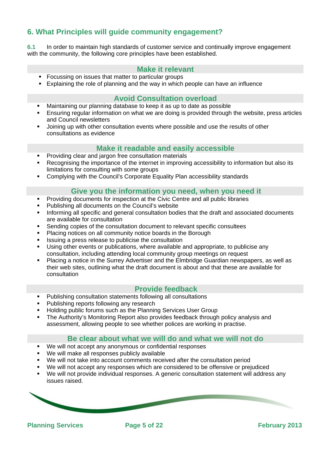# **6. What Principles will guide community engagement?**

**6.1** In order to maintain high standards of customer service and continually improve engagement with the community, the following core principles have been established.

## **Make it relevant**

- **Focussing on issues that matter to particular groups**
- Explaining the role of planning and the way in which people can have an influence

## **Avoid Consultation overload**

- Maintaining our planning database to keep it as up to date as possible
- Ensuring regular information on what we are doing is provided through the website, press articles and Council newsletters
- Joining up with other consultation events where possible and use the results of other consultations as evidence

#### **Make it readable and easily accessible**

- **Providing clear and jargon free consultation materials**
- Recognising the importance of the internet in improving accessibility to information but also its limitations for consulting with some groups
- Complying with the Council's Corporate Equality Plan accessibility standards

#### **Give you the information you need, when you need it**

- Providing documents for inspection at the Civic Centre and all public libraries
- Publishing all documents on the Council's website
- Informing all specific and general consultation bodies that the draft and associated documents are available for consultation
- Sending copies of the consultation document to relevant specific consultees
- Placing notices on all community notice boards in the Borough
- Issuing a press release to publicise the consultation
- Using other events or publications, where available and appropriate, to publicise any consultation, including attending local community group meetings on request
- Placing a notice in the Surrey Advertiser and the Elmbridge Guardian newspapers, as well as their web sites, outlining what the draft document is about and that these are available for consultation

## **Provide feedback**

- Publishing consultation statements following all consultations
- Publishing reports following any research
- Holding public forums such as the Planning Services User Group
- The Authority's Monitoring Report also provides feedback through policy analysis and assessment, allowing people to see whether polices are working in practise.

#### **Be clear about what we will do and what we will not do**

- We will not accept any anonymous or confidential responses
- We will make all responses publicly available

- -26

- We will not take into account comments received after the consultation period
- We will not accept any responses which are considered to be offensive or prejudiced
- We will not provide individual responses. A generic consultation statement will address any issues raised.

5

**Planning Services 2013** Page 5 of 22 **Planning Services Propose 2013**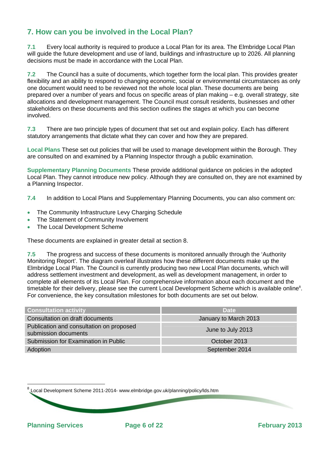# **7. How can you be involved in the Local Plan?**

**7.1** Every local authority is required to produce a Local Plan for its area. The Elmbridge Local Plan will guide the future development and use of land, buildings and infrastructure up to 2026. All planning decisions must be made in accordance with the Local Plan.

**7.2** The Council has a suite of documents, which together form the local plan. This provides greater flexibility and an ability to respond to changing economic, social or environmental circumstances as only one document would need to be reviewed not the whole local plan. These documents are being prepared over a number of years and focus on specific areas of plan making – e.g. overall strategy, site allocations and development management. The Council must consult residents, businesses and other stakeholders on these documents and this section outlines the stages at which you can become involved.

**7.3** There are two principle types of document that set out and explain policy. Each has different statutory arrangements that dictate what they can cover and how they are prepared.

**Local Plans** These set out policies that will be used to manage development within the Borough. They are consulted on and examined by a Planning Inspector through a public examination.

**Supplementary Planning Documents** These provide additional guidance on policies in the adopted Local Plan. They cannot introduce new policy. Although they are consulted on, they are not examined by a Planning Inspector.

**7.4** In addition to Local Plans and Supplementary Planning Documents, you can also comment on:

- The Community Infrastructure Levy Charging Schedule
- The Statement of Community Involvement
- The Local Development Scheme

These documents are explained in greater detail at section 8.

**7.5** The progress and success of these documents is monitored annually through the 'Authority Monitoring Report'. The diagram overleaf illustrates how these different documents make up the Elmbridge Local Plan. The Council is currently producing two new Local Plan documents, which will address settlement investment and development, as well as development management, in order to complete all elements of its Local Plan. For comprehensive information about each document and the timetable for their delivery, please see the current Local Development Scheme which is available online<sup>8</sup>. For convenience, the key consultation milestones for both documents are set out below.

| <b>Consultation activity</b>                                     | <b>Date</b>           |
|------------------------------------------------------------------|-----------------------|
| Consultation on draft documents                                  | January to March 2013 |
| Publication and consultation on proposed<br>submission documents | June to July 2013     |
| Submission for Examination in Public                             | October 2013          |
| Adoption                                                         | September 2014        |

6

Local Development Scheme 2011-2014- www.elmbridge.gov.uk/planning/policy/lds.htm

- -26

**Planning Services 2013** Page 6 of 22 **Planning Services Propose 2013** 

l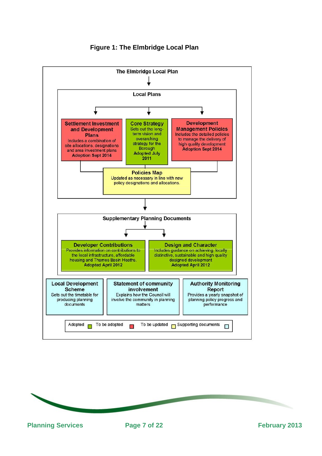

## **Figure 1: The Elmbridge Local Plan**

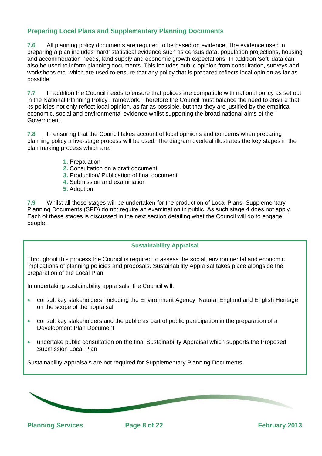## **Preparing Local Plans and Supplementary Planning Documents**

**7.6** All planning policy documents are required to be based on evidence. The evidence used in preparing a plan includes 'hard' statistical evidence such as census data, population projections, housing and accommodation needs, land supply and economic growth expectations. In addition 'soft' data can also be used to inform planning documents. This includes public opinion from consultation, surveys and workshops etc, which are used to ensure that any policy that is prepared reflects local opinion as far as possible.

**7.7** In addition the Council needs to ensure that polices are compatible with national policy as set out in the National Planning Policy Framework. Therefore the Council must balance the need to ensure that its policies not only reflect local opinion, as far as possible, but that they are justified by the empirical economic, social and environmental evidence whilst supporting the broad national aims of the Government.

**7.8** In ensuring that the Council takes account of local opinions and concerns when preparing planning policy a five-stage process will be used. The diagram overleaf illustrates the key stages in the plan making process which are:

- **1.** Preparation
- **2.** Consultation on a draft document
- **3.** Production/ Publication of final document
- **4.** Submission and examination
- **5.** Adoption

**7.9** Whilst all these stages will be undertaken for the production of Local Plans, Supplementary Planning Documents (SPD) do not require an examination in public. As such stage 4 does not apply. Each of these stages is discussed in the next section detailing what the Council will do to engage people.

#### **Sustainability Appraisal**

Throughout this process the Council is required to assess the social, environmental and economic implications of planning policies and proposals. Sustainability Appraisal takes place alongside the preparation of the Local Plan.

In undertaking sustainability appraisals, the Council will:

- -26

- consult key stakeholders, including the Environment Agency, Natural England and English Heritage on the scope of the appraisal
- consult key stakeholders and the public as part of public participation in the preparation of a Development Plan Document
- undertake public consultation on the final Sustainability Appraisal which supports the Proposed Submission Local Plan

8

Sustainability Appraisals are not required for Supplementary Planning Documents.

**Planning Services 2013** Page 8 of 22 **Planning Services Propose 2013**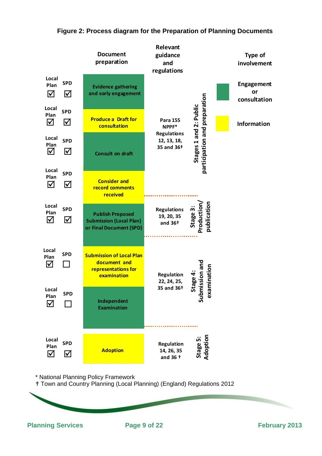

## **Figure 2: Process diagram for the Preparation of Planning Documents**

\* National Planning Policy Framework

- -26

Town and Country Planning (Local Planning) (England) Regulations 2012

**Adoption**

Planning Services **Page 9 of 22 Planning Services Page 9 of 22 February 2013** 

**Local Plan SPD** 1⊽ ⊘

9

**Regulation 14, 26, 35 and 36 †**

**Sta g e**

**Ad o**

**pt oi n**

**5:**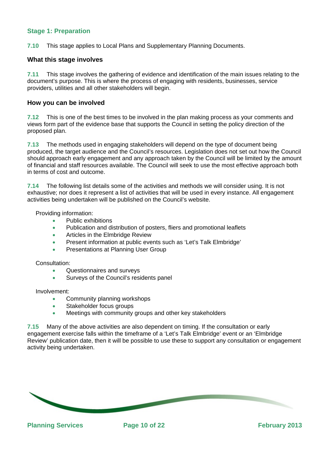## **Stage 1: Preparation**

**7.10** This stage applies to Local Plans and Supplementary Planning Documents.

#### **What this stage involves**

**7.11** This stage involves the gathering of evidence and identification of the main issues relating to the document's purpose. This is where the process of engaging with residents, businesses, service providers, utilities and all other stakeholders will begin.

#### **How you can be involved**

**7.12** This is one of the best times to be involved in the plan making process as your comments and views form part of the evidence base that supports the Council in setting the policy direction of the proposed plan.

**7.13** The methods used in engaging stakeholders will depend on the type of document being produced, the target audience and the Council's resources. Legislation does not set out how the Council should approach early engagement and any approach taken by the Council will be limited by the amount of financial and staff resources available. The Council will seek to use the most effective approach both in terms of cost and outcome.

**7.14** The following list details some of the activities and methods we will consider using. It is not exhaustive; nor does it represent a list of activities that will be used in every instance. All engagement activities being undertaken will be published on the Council's website.

Providing information:

- Public exhibitions
- Publication and distribution of posters, fliers and promotional leaflets
- **Articles in the Elmbridge Review**
- Present information at public events such as 'Let's Talk Elmbridge'
- **•** Presentations at Planning User Group

Consultation:

- Questionnaires and surveys
- **Surveys of the Council's residents panel**

Involvement:

- Community planning workshops
- Stakeholder focus groups
- **•** Meetings with community groups and other key stakeholders

**7.15** Many of the above activities are also dependent on timing. If the consultation or early engagement exercise falls within the timeframe of a 'Let's Talk Elmbridge' event or an 'Elmbridge Review' publication date, then it will be possible to use these to support any consultation or engagement activity being undertaken.

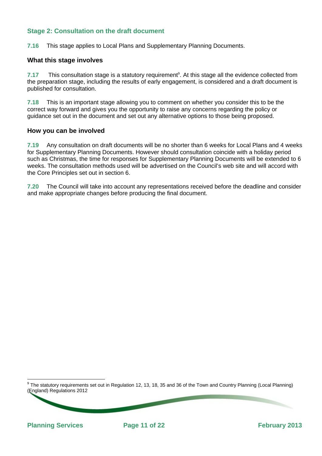## **Stage 2: Consultation on the draft document**

**7.16** This stage applies to Local Plans and Supplementary Planning Documents.

#### **What this stage involves**

7.17 This consultation stage is a statutory requirement<sup>9</sup>. At this stage all the evidence collected from the preparation stage, including the results of early engagement, is considered and a draft document is published for consultation.

**7.18** This is an important stage allowing you to comment on whether you consider this to be the correct way forward and gives you the opportunity to raise any concerns regarding the policy or guidance set out in the document and set out any alternative options to those being proposed.

#### **How you can be involved**

**7.19** Any consultation on draft documents will be no shorter than 6 weeks for Local Plans and 4 weeks for Supplementary Planning Documents. However should consultation coincide with a holiday period such as Christmas, the time for responses for Supplementary Planning Documents will be extended to 6 weeks. The consultation methods used will be advertised on the Council's web site and will accord with the Core Principles set out in section 6.

**7.20** The Council will take into account any representations received before the deadline and consider and make appropriate changes before producing the final document.

 9 The statutory requirements set out in Regulation 12, 13, 18, 35 and 36 of the Town and Country Planning (Local Planning) (England) Regulations 2012

11

**Planning Services** Page 11 of 22 **February 2013**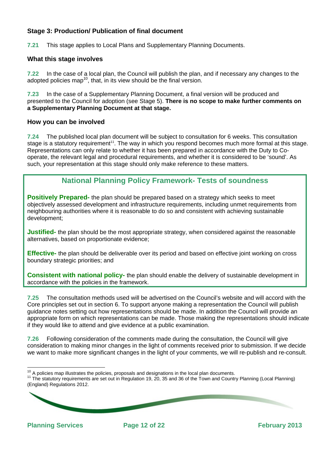## **Stage 3: Production/ Publication of final document**

**7.21** This stage applies to Local Plans and Supplementary Planning Documents.

#### **What this stage involves**

**7.22** In the case of a local plan, the Council will publish the plan, and if necessary any changes to the adopted policies map<sup>10</sup>, that, in its view should be the final version.

**7.23** In the case of a Supplementary Planning Document, a final version will be produced and presented to the Council for adoption (see Stage 5). **There is no scope to make further comments on a Supplementary Planning Document at that stage.** 

#### **How you can be involved**

**7.24** The published local plan document will be subject to consultation for 6 weeks. This consultation stage is a statutory requirement<sup>11</sup>. The way in which you respond becomes much more formal at this stage. Representations can only relate to whether it has been prepared in accordance with the Duty to Cooperate, the relevant legal and procedural requirements, and whether it is considered to be 'sound'. As such, your representation at this stage should only make reference to these matters.

# **National Planning Policy Framework- Tests of soundness**

**Positively Prepared-** the plan should be prepared based on a strategy which seeks to meet objectively assessed development and infrastructure requirements, including unmet requirements from neighbouring authorities where it is reasonable to do so and consistent with achieving sustainable development;

**Justified-** the plan should be the most appropriate strategy, when considered against the reasonable alternatives, based on proportionate evidence;

**Effective-** the plan should be deliverable over its period and based on effective joint working on cross boundary strategic priorities; and

**Consistent with national policy-** the plan should enable the delivery of sustainable development in accordance with the policies in the framework.

**7.25** The consultation methods used will be advertised on the Council's website and will accord with the Core principles set out in section 6. To support anyone making a representation the Council will publish guidance notes setting out how representations should be made. In addition the Council will provide an appropriate form on which representations can be made. Those making the representations should indicate if they would like to attend and give evidence at a public examination.

**7.26** Following consideration of the comments made during the consultation, the Council will give consideration to making minor changes in the light of comments received prior to submission. If we decide we want to make more significant changes in the light of your comments, we will re-publish and re-consult.

12

<sup>&</sup>lt;sup>10</sup> A policies map illustrates the policies, proposals and designations in the local plan documents.

<sup>&</sup>lt;sup>11</sup> The statutory requirements are set out in Regulation 19, 20, 35 and 36 of the Town and Country Planning (Local Planning) (England) Regulations 2012.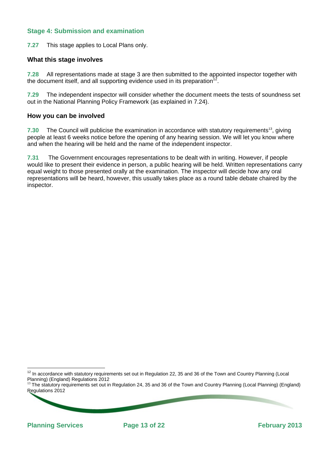## **Stage 4: Submission and examination**

**7.27** This stage applies to Local Plans only.

#### **What this stage involves**

**7.28** All representations made at stage 3 are then submitted to the appointed inspector together with the document itself, and all supporting evidence used in its preparation<sup>12</sup>

**7.29** The independent inspector will consider whether the document meets the tests of soundness set out in the National Planning Policy Framework (as explained in 7.24).

#### **How you can be involved**

**7.30** The Council will publicise the examination in accordance with statutory requirements<sup>13</sup>, giving people at least 6 weeks notice before the opening of any hearing session. We will let you know where and when the hearing will be held and the name of the independent inspector.

**7.31** The Government encourages representations to be dealt with in writing. However, if people would like to present their evidence in person, a public hearing will be held. Written representations carry equal weight to those presented orally at the examination. The inspector will decide how any oral representations will be heard, however, this usually takes place as a round table debate chaired by the inspector.

13

l

 $12$  In accordance with statutory requirements set out in Regulation 22, 35 and 36 of the Town and Country Planning (Local Planning) (England) Regulations 2012

<sup>&</sup>lt;sup>13</sup> The statutory requirements set out in Regulation 24, 35 and 36 of the Town and Country Planning (Local Planning) (England) Regulations 2012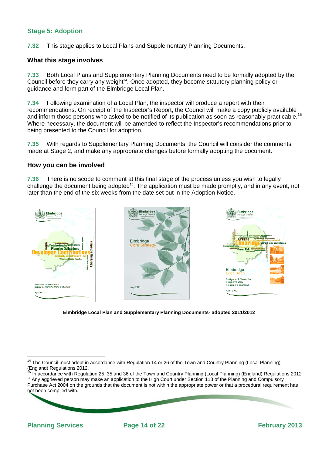## **Stage 5: Adoption**

**7.32** This stage applies to Local Plans and Supplementary Planning Documents.

#### **What this stage involves**

**7.33** Both Local Plans and Supplementary Planning Documents need to be formally adopted by the Council before they carry any weight<sup>14</sup>. Once adopted, they become statutory planning policy or guidance and form part of the Elmbridge Local Plan.

**7.34** Following examination of a Local Plan, the inspector will produce a report with their recommendations. On receipt of the Inspector's Report, the Council will make a copy publicly available and inform those persons who asked to be notified of its publication as soon as reasonably practicable.<sup>15</sup> Where necessary, the document will be amended to reflect the Inspector's recommendations prior to being presented to the Council for adoption.

**7.35** With regards to Supplementary Planning Documents, the Council will consider the comments made at Stage 2, and make any appropriate changes before formally adopting the document.

#### **How you can be involved**

**7.36** There is no scope to comment at this final stage of the process unless you wish to legally challenge the document being adopted<sup>16</sup>. The application must be made promptly, and in any event, not later than the end of the six weeks from the date set out in the Adoption Notice.



**Elmbridge Local Plan and Supplementary Planning Documents- adopted 2011/2012** 

14

 $\overline{a}$ <sup>14</sup> The Council must adopt in accordance with Regulation 14 or 26 of the Town and Country Planning (Local Planning) (England) Regulations 2012.<br><sup>15</sup> In accordance with Regulation 25, 35 and 36 of the Town and Country Planning (Local Planning) (England) Regulations 2012

<sup>&</sup>lt;sup>16</sup> Any aggrieved person may make an application to the High Court under Section 113 of the Planning and Compulsory Purchase Act 2004 on the grounds that the document is not within the appropriate power or that a procedural requirement has not been complied with.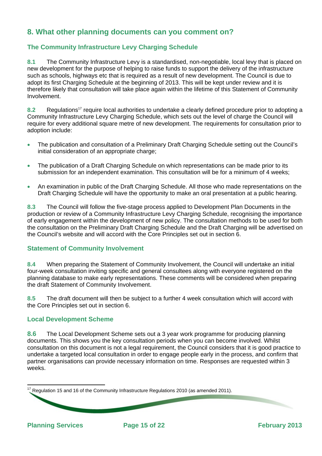# **8. What other planning documents can you comment on?**

## **The Community Infrastructure Levy Charging Schedule**

**8.1** The Community Infrastructure Levy is a standardised, non-negotiable, local levy that is placed on new development for the purpose of helping to raise funds to support the delivery of the infrastructure such as schools, highways etc that is required as a result of new development. The Council is due to adopt its first Charging Schedule at the beginning of 2013. This will be kept under review and it is therefore likely that consultation will take place again within the lifetime of this Statement of Community Involvement.

8.2 Regulations<sup>17</sup> require local authorities to undertake a clearly defined procedure prior to adopting a Community Infrastructure Levy Charging Schedule, which sets out the level of charge the Council will require for every additional square metre of new development. The requirements for consultation prior to adoption include:

- The publication and consultation of a Preliminary Draft Charging Schedule setting out the Council's initial consideration of an appropriate charge;
- The publication of a Draft Charging Schedule on which representations can be made prior to its submission for an independent examination. This consultation will be for a minimum of 4 weeks;
- An examination in public of the Draft Charging Schedule. All those who made representations on the Draft Charging Schedule will have the opportunity to make an oral presentation at a public hearing.

**8.3** The Council will follow the five-stage process applied to Development Plan Documents in the production or review of a Community Infrastructure Levy Charging Schedule, recognising the importance of early engagement within the development of new policy. The consultation methods to be used for both the consultation on the Preliminary Draft Charging Schedule and the Draft Charging will be advertised on the Council's website and will accord with the Core Principles set out in section 6.

#### **Statement of Community Involvement**

**8.4** When preparing the Statement of Community Involvement, the Council will undertake an initial four-week consultation inviting specific and general consultees along with everyone registered on the planning database to make early representations. These comments will be considered when preparing the draft Statement of Community Involvement.

**8.5** The draft document will then be subject to a further 4 week consultation which will accord with the Core Principles set out in section 6.

#### **Local Development Scheme**

**8.6** The Local Development Scheme sets out a 3 year work programme for producing planning documents. This shows you the key consultation periods when you can become involved. Whilst consultation on this document is not a legal requirement, the Council considers that it is good practice to undertake a targeted local consultation in order to engage people early in the process, and confirm that partner organisations can provide necessary information on time. Responses are requested within 3 weeks.

| $^{17}$ Regulation 15 and 16 of the Community Infrastructure Regulations 2010 (as amended 2011). |  |
|--------------------------------------------------------------------------------------------------|--|
|                                                                                                  |  |
|                                                                                                  |  |
|                                                                                                  |  |

**Planning Services Page 15 of 22 February 2013**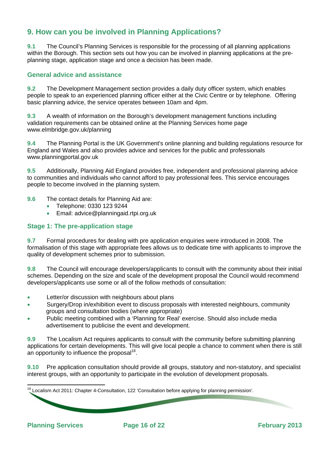# **9. How can you be involved in Planning Applications?**

**9.1** The Council's Planning Services is responsible for the processing of all planning applications within the Borough. This section sets out how you can be involved in planning applications at the preplanning stage, application stage and once a decision has been made.

#### **General advice and assistance**

**9.2** The Development Management section provides a daily duty officer system, which enables people to speak to an experienced planning officer either at the Civic Centre or by telephone. Offering basic planning advice, the service operates between 10am and 4pm.

**9.3** A wealth of information on the Borough's development management functions including validation requirements can be obtained online at the Planning Services home page www.elmbridge.gov.uk/planning

**9.4** The Planning Portal is the UK Government's online planning and building regulations resource for England and Wales and also provides advice and services for the public and professionals www.planningportal.gov.uk

**9.5** Additionally, Planning Aid England provides free, independent and professional planning advice to communities and individuals who cannot afford to pay professional fees. This service encourages people to become involved in the planning system.

- **9.6** The contact details for Planning Aid are:
	- Telephone: 0330 123 9244
	- **Email: advice@planningaid.rtpi.org.uk**

#### **Stage 1: The pre-application stage**

**9.7** Formal procedures for dealing with pre application enquiries were introduced in 2008. The formalisation of this stage with appropriate fees allows us to dedicate time with applicants to improve the quality of development schemes prior to submission.

**9.8** The Council will encourage developers/applicants to consult with the community about their initial schemes. Depending on the size and scale of the development proposal the Council would recommend developers/applicants use some or all of the follow methods of consultation:

- **•** Letter/or discussion with neighbours about plans
- Surgery/Drop in/exhibition event to discuss proposals with interested neighbours, community groups and consultation bodies (where appropriate)
- Public meeting combined with a 'Planning for Real' exercise. Should also include media advertisement to publicise the event and development.

**9.9** The Localism Act requires applicants to consult with the community before submitting planning applications for certain developments. This will give local people a chance to comment when there is still an opportunity to influence the proposal<sup>18</sup>.

**9.10** Pre application consultation should provide all groups, statutory and non-statutory, and specialist interest groups, with an opportunity to participate in the evolution of development proposals.

 - -26 16 l  $18$  Localism Act 2011: Chapter 4-Consultation, 122 'Consultation before applying for planning permission'.

**Planning Services** Page 16 of 22 **Page 16 of 22 February 2013**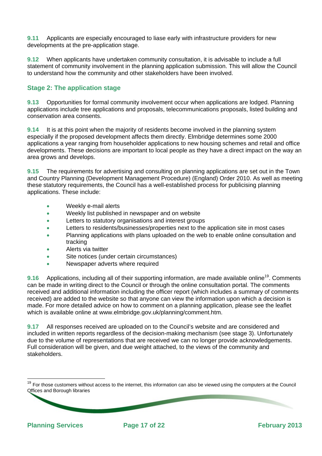**9.11** Applicants are especially encouraged to liase early with infrastructure providers for new developments at the pre-application stage.

**9.12** When applicants have undertaken community consultation, it is advisable to include a full statement of community involvement in the planning application submission. This will allow the Council to understand how the community and other stakeholders have been involved.

## **Stage 2: The application stage**

**9.13** Opportunities for formal community involvement occur when applications are lodged. Planning applications include tree applications and proposals, telecommunications proposals, listed building and conservation area consents.

**9.14** It is at this point when the majority of residents become involved in the planning system especially if the proposed development affects them directly. Elmbridge determines some 2000 applications a year ranging from householder applications to new housing schemes and retail and office developments. These decisions are important to local people as they have a direct impact on the way an area grows and develops.

**9.15** The requirements for advertising and consulting on planning applications are set out in the Town and Country Planning (Development Management Procedure) (England) Order 2010. As well as meeting these statutory requirements, the Council has a well-established process for publicising planning applications. These include:

- Weekly e-mail alerts
- Weekly list published in newspaper and on website
- **Letters to statutory organisations and interest groups**
- Letters to residents/businesses/properties next to the application site in most cases
- Planning applications with plans uploaded on the web to enable online consultation and tracking
- Alerts via twitter
- Site notices (under certain circumstances)
- Newspaper adverts where required

**9.16** Applications, including all of their supporting information, are made available online<sup>19</sup>. Comments can be made in writing direct to the Council or through the online consultation portal. The comments received and additional information including the officer report (which includes a summary of comments received) are added to the website so that anyone can view the information upon which a decision is made. For more detailed advice on how to comment on a planning application, please see the leaflet which is available online at www.elmbridge.gov.uk/planning/comment.htm.

**9.17** All responses received are uploaded on to the Council's website and are considered and included in written reports regardless of the decision-making mechanism (see stage 3). Unfortunately due to the volume of representations that are received we can no longer provide acknowledgements. Full consideration will be given, and due weight attached, to the views of the community and stakeholders.

17

l

<sup>&</sup>lt;sup>19</sup> For those customers without access to the internet, this information can also be viewed using the computers at the Council Offices and Borough libraries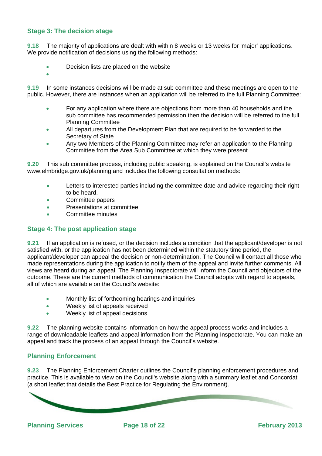#### **Stage 3: The decision stage**

**9.18** The majority of applications are dealt with within 8 weeks or 13 weeks for 'major' applications. We provide notification of decisions using the following methods:

- Decision lists are placed on the website
- $\bullet$

**9.19** In some instances decisions will be made at sub committee and these meetings are open to the public. However, there are instances when an application will be referred to the full Planning Committee:

- For any application where there are objections from more than 40 households and the sub committee has recommended permission then the decision will be referred to the full Planning Committee
- All departures from the Development Plan that are required to be forwarded to the Secretary of State
- Any two Members of the Planning Committee may refer an application to the Planning Committee from the Area Sub Committee at which they were present

**9.20** This sub committee process, including public speaking, is explained on the Council's website www.elmbridge.gov.uk/planning and includes the following consultation methods:

- **•** Letters to interested parties including the committee date and advice regarding their right to be heard.
- Committee papers
- **•** Presentations at committee
- Committee minutes

#### **Stage 4: The post application stage**

**9.21** If an application is refused, or the decision includes a condition that the applicant/developer is not satisfied with, or the application has not been determined within the statutory time period, the applicant/developer can appeal the decision or non-determination. The Council will contact all those who made representations during the application to notify them of the appeal and invite further comments. All views are heard during an appeal. The Planning Inspectorate will inform the Council and objectors of the outcome. These are the current methods of communication the Council adopts with regard to appeals, all of which are available on the Council's website:

- Monthly list of forthcoming hearings and inquiries
- Weekly list of appeals received
- Weekly list of appeal decisions

**9.22** The planning website contains information on how the appeal process works and includes a range of downloadable leaflets and appeal information from the Planning Inspectorate. You can make an appeal and track the process of an appeal through the Council's website.

#### **Planning Enforcement**

**9.23** The Planning Enforcement Charter outlines the Council's planning enforcement procedures and practice. This is available to view on the Council's website along with a summary leaflet and Concordat (a short leaflet that details the Best Practice for Regulating the Environment).



**Planning Services** Page 18 of 22 **Page 18 of 22 February 2013**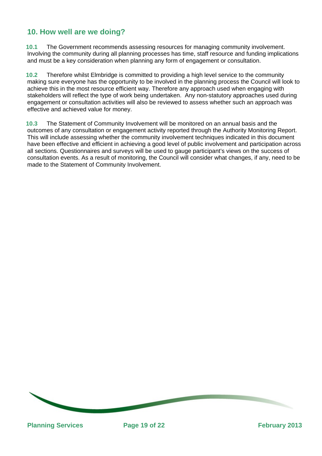# **10. How well are we doing?**

**10.1** The Government recommends assessing resources for managing community involvement. Involving the community during all planning processes has time, staff resource and funding implications and must be a key consideration when planning any form of engagement or consultation.

**10.2** Therefore whilst Elmbridge is committed to providing a high level service to the community making sure everyone has the opportunity to be involved in the planning process the Council will look to achieve this in the most resource efficient way. Therefore any approach used when engaging with stakeholders will reflect the type of work being undertaken. Any non-statutory approaches used during engagement or consultation activities will also be reviewed to assess whether such an approach was effective and achieved value for money.

**10.3** The Statement of Community Involvement will be monitored on an annual basis and the outcomes of any consultation or engagement activity reported through the Authority Monitoring Report. This will include assessing whether the community involvement techniques indicated in this document have been effective and efficient in achieving a good level of public involvement and participation across all sections. Questionnaires and surveys will be used to gauge participant's views on the success of consultation events. As a result of monitoring, the Council will consider what changes, if any, need to be made to the Statement of Community Involvement.

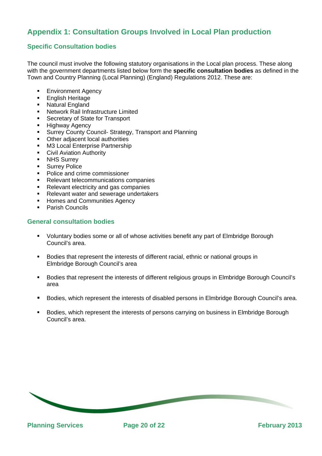# **Appendix 1: Consultation Groups Involved in Local Plan production**

## **Specific Consultation bodies**

The council must involve the following statutory organisations in the Local plan process. These along with the government departments listed below form the **specific consultation bodies** as defined in the Town and Country Planning (Local Planning) (England) Regulations 2012. These are:

- Environment Agency
- English Heritage
- **Natural England**
- Network Rail Infrastructure Limited
- **Secretary of State for Transport**
- **-** Highway Agency
- Surrey County Council- Strategy, Transport and Planning
- Other adjacent local authorities
- M3 Local Enterprise Partnership
- Civil Aviation Authority
- **NHS Surrey**
- **Surrey Police**
- Police and crime commissioner
- Relevant telecommunications companies
- Relevant electricity and gas companies
- Relevant water and sewerage undertakers
- Homes and Communities Agency
- Parish Councils

#### **General consultation bodies**

- Voluntary bodies some or all of whose activities benefit any part of Elmbridge Borough Council's area.
- **Bodies that represent the interests of different racial, ethnic or national groups in** Elmbridge Borough Council's area
- Bodies that represent the interests of different religious groups in Elmbridge Borough Council's area
- Bodies, which represent the interests of disabled persons in Elmbridge Borough Council's area.
- Bodies, which represent the interests of persons carrying on business in Elmbridge Borough Council's area.

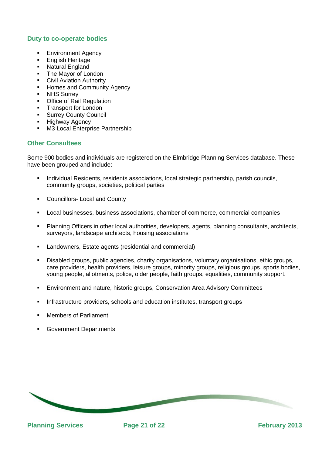#### **Duty to co-operate bodies**

- **Environment Agency**
- English Heritage
- Natural England
- The Mayor of London
- **Civil Aviation Authority**
- Homes and Community Agency
- **NHS Surrey**
- Office of Rail Regulation
- Transport for London
- Surrey County Council
- Highway Agency
- **M3 Local Enterprise Partnership**

#### **Other Consultees**

Some 900 bodies and individuals are registered on the Elmbridge Planning Services database. These have been grouped and include:

- Individual Residents, residents associations, local strategic partnership, parish councils, community groups, societies, political parties
- Councillors- Local and County
- Local businesses, business associations, chamber of commerce, commercial companies
- Planning Officers in other local authorities, developers, agents, planning consultants, architects, surveyors, landscape architects, housing associations
- Landowners, Estate agents (residential and commercial)
- Disabled groups, public agencies, charity organisations, voluntary organisations, ethic groups, care providers, health providers, leisure groups, minority groups, religious groups, sports bodies, young people, allotments, police, older people, faith groups, equalities, community support.
- Environment and nature, historic groups, Conservation Area Advisory Committees
- Infrastructure providers, schools and education institutes, transport groups
- Members of Parliament
- Government Departments